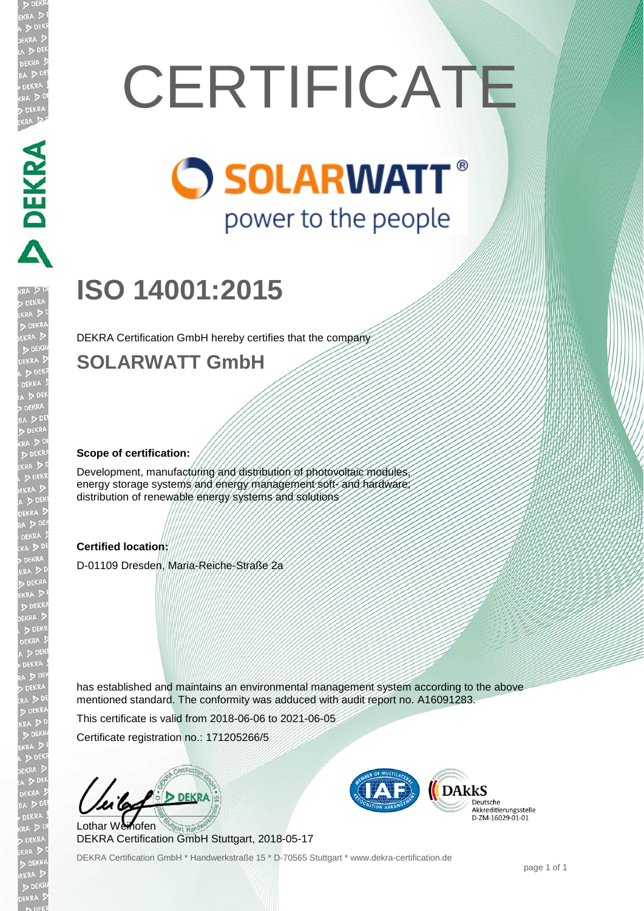# **CERTIFICATE**

# **O SOLARWATT®** power to the people

# **ISO 14001:2015**

DEKRA Certification GmbH hereby certifies that the company

## **SOLARWATT GmbH**

### **Scope of certification:**

Development, manufacturing and distribution of photovoltaic modules energy storage systems and energy management soft- and hardware distribution of renewable energy systems and solutions

### **Certified location:**

D-01109 Dresden, Maria-Reiche-Straße 2a

has established and maintains an environmental management system according to the above mentioned standard. The conformity was adduced with audit report no. A16091283.

This certificate is valid from 2018-06-06 to 2021-06-05

Certificate registration no.: 171205266/5

**DEKRA** Lothar Weihofen

DEKRA Certification GmbH Stuttgart, 2018-05-17

DEKRA Certification GmbH \* Handwerkstraße 15 \* D-70565 Stuttgart \* www.dekra-certification.de